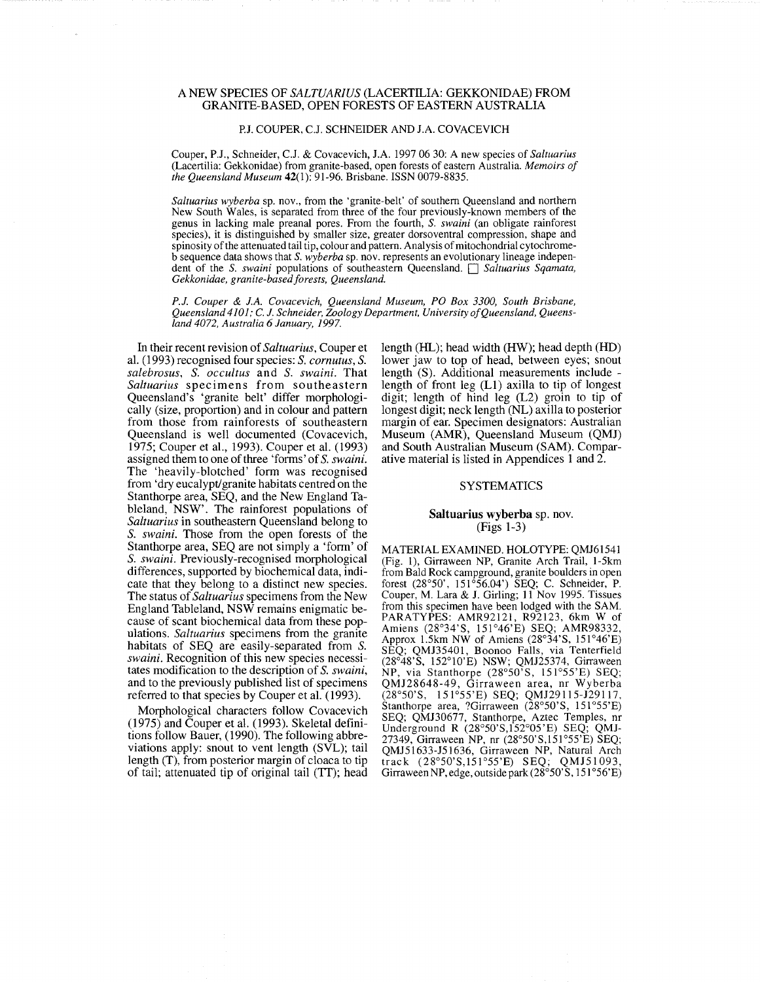# A NEW SPECIES OF *SALTUARIUS* (LACERTILIA: GEKKONIDAE) FROM GRANITE-BASED, OPEN FORESTS OF EASTERN AUSTRALIA

### PJ. COUPER, CJ. SCHNEIDER AND J.A. COVACEVICH

Couper, PJ., Schneider, CJ. & Covacevich, J.A. 19970630: A new species of *Saltuarius*  (Lacertilia: Gekkonidae) from granite-based, open forests of eastern Australia. *Memoirs oj the Queensland Museum* 42(1): 91-96. Brisbane. ISSN 0079-8835.

*Saltuarius wyberba* sp. nov., from the 'granite-belt' of southern Queensland and northern New South Wales, is separated from three of the four previously-known members of the genus in lacking male preanal pores. From the fourth, S. *swaini* (an obligate rainforest species), it is distinguished by smaller size, greater dorsoventral compression, shape and spinosity of the attenuated tail tip, colour and pattern. Analysis of mitochondrial cytochromeb sequence data shows that S. *wyberba* sp. nov. represents an evolutionary lineage independent of the S. *swaini* populations of southeastern Queensland. D *Saltuarius Sqamata,*  Gekkonidae, granite-based forests, Queensland.

*P.l. Couper* & *l.A. Covacevich, Queensland Museum, PO Box 3300, South Brisbane, Queensland4J01;* C. *l. Schneider, Zoology Department, UniversityoJQueensland, Queensland 4072, Australia* 6 *lanuary, 1997.* 

In their recent revision of *Saltuarius,* Couper et al. (1993) recognised four species: S. *cornutus,* S. *salebrosus,* S. *occultus* and S. *swaini.* That *Saltuarius* specimens from southeastern Queensland's 'granite belt' differ morphologically (size, proportion) and in colour and pattern from those from rainforests of southeastern Queensland is well documented (Covacevich, 1975; Couper et aI., 1993). Couper et aI. (1993) assigned them to one of three 'forms' of S. *swaini.*  The 'heavily-blotched' form was recognised from 'dry eucalypt/granite habitats centred on the Stanthorpe area, SEQ, and the New England Tableland, NSW'. The rainforest populations of *Saltuarius* in southeastern Queensland belong to S. *swaini.* Those from the open forests of the Stanthorpe area, SEQ are not simply a 'form' of S. *swaini.* Previously-recognised morphological differences, supported by biochemical data, indicate that they belong to a distinct new species. The status of *Saltuarius* specimens from the New England Tableland, NSW remains enigmatic because of scant biochemical data from these populations. *Saltuarius* specimens from the granite habitats of SEQ are easily-separated from S. *swaini.* Recognition of this new species necessitates modification to the description of S. *swaini,*  and to the previously published list of specimens referred to that species by Couper et al. (1993).

Morphological characters follow Covacevich  $(1975)$  and Couper et al. (1993). Skeletal definitions follow Bauer, (1990). The following abbreviations apply: snout to vent length (SVL); tail length (T), from posterior margin of cloaca to tip of tail; attenuated tip of original tail (IT); head length (HL); head width (HW); head depth (HD) lower jaw to top of head, between eyes; snout length (S). Additional measurements include length of front leg (Ll) axilla to tip of longest digit; length of hind leg (L2) groin to tip of longest digit; neck length (NL) axilla to posterior margin of ear. Specimen designators: Australian Museum (AMR), Queensland Museum (QMJ) and South Australian Museum (SAM). Comparative material is listed in Appendices 1 and 2.

# **SYSTEMATICS**

## Saltuarius wyberba sp. nov. (Figs 1-3)

MATERIAL EXAMINED. HOLOTYPE: QMJ6I541 (Fig. 1), Girraween NP, Granite Arch Trail, 1-5km from Bald Rock campground, granite boulders in open forest (28°50', 151 °56.04') SEQ; C. Schneider, P. Couper, M. Lara & J. Girling; 11 Nov 1995. Tissues from this specimen have been lodged with the SAM. PARATYPES: AMR92121, R92123, 6km W of Amiens (28°34'S, 151°46'E) SEQ; AMR98332, Approx 1.5km NW of Amiens  $(28°34'S, 151°46'E)$ SEQ; QMJ3540I, Boonoo Falls, via Tenterfield (28°48'S, 152°1O'E) NSW; QMJ25374, Girraween NP, via Stanthorpe (28°50'S, 151°55'E) SEQ; QMJ28648-49, Girraween area, nr Wyberba (28°50'S, 15J055'E) SEQ; QMJ29115-J29117, Stanthorpe area, ?Girraween  $(28°50'S, 151°55'E)$ SEQ; QMJ30677, Stanthorpe, Aztec Temples, nr Underground R (28°50'S,I52°05'E) SEQ; QMJ-27349, Girraween NP, nr (28°50'S,I51°55'E) SEQ; QMJ51633-J51636, Girraween NP, Natural Arch track (28°50'S,I51°55'E) SEQ; QMJ51093, Girraween NP, edge, outside park  $(28°50°S, 151°56'E)$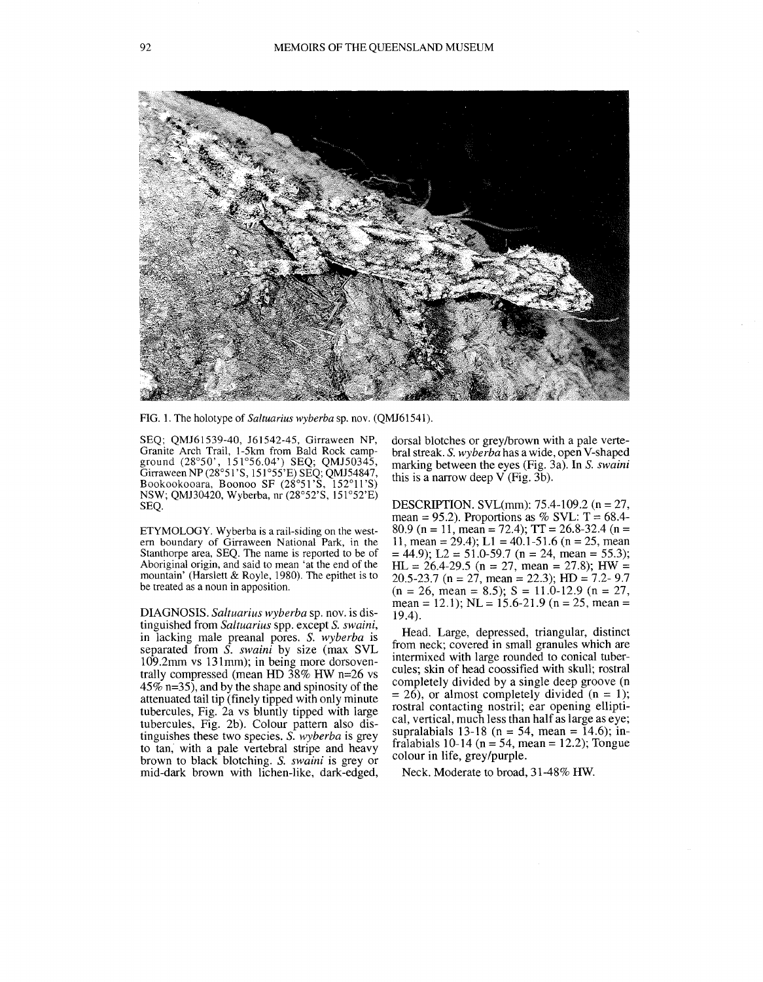

FIG. 1. The holotype of *Saltuarius wyberba* sp. nov. (QMJ61541).

SEQ; QMJ61539-40, J61542-45, Girraween NP, Granite Arch Trail, 1-5km from Bald Rock campground (28°50', 151°56.04') SEQ; QMJ50345, Girraween NP (28°51'S, 151°55'E) SEQ; QMJ54847, Bookookooara, Boonoo SF (28°51 'S, 152°11 'S) NSW; QMB0420, Wyberba, nr (28°52'S, 151°52'E) SEQ.

ETYMOLOGY. Wyberba is a rail-siding on the west- ern boundary of Girraween National Park, in the Stanthorpe area, SEQ. The name is reported to be of Aboriginal origin, and said to mean 'at the end of the mountain' (Harslett & Royle, 1980). The epithet is to be treated as a noun in apposition.

DIAGNOSIS. *Saltuarius wyberba* sp. nov. is distinguished from *Saltuarius* spp. except S. *swaini,*  in lacking male preanal pores. S. *wyberba* is separated from S. *swaini* by size (max SVL 109.2mm vs 131mm); in being more dorsoventrally compressed (mean HD 38% HW n=26 vs  $45\%$  n=35), and by the shape and spinosity of the attenuated tail tip (finely tipped with only minute tubercules, Fig. 2a vs bluntly tipped with large tubercules, Fig. 2b). Colour pattern also distinguishes these two species. S. *wyberba* is grey to tan, with a pale vertebral stripe and heavy brown to black blotching. S. *swaini* is grey or mid-dark brown with lichen-like, dark-edged,

dorsal blotches or grey/brown with a pale vertebral streak. S. *wyberba* has a wide, open V-shaped marking between the eyes (Fig. 3a). In S. *swaini*  this is a narrow deep  $V$  (Fig. 3b).

DESCRIPTION. SVL(mm): 75.4-109.2 (n = 27, mean = 95.2). Proportions as % SVL:  $T = 68.4$ -80.9 (n = 11, mean = 72.4);  $TT = 26.8 - 32.4$  (n = 11, mean = 29.4); L1 = 40.1-51.6 (n = 25, mean  $= 44.9$ ; L2 = 51.0-59.7 (n = 24, mean = 55.3);  $HL = 26.4{\text -}29.5$  (n = 27, mean = 27.8); HW = 20.5-23.7 (n = 27, mean = 22.3); HD = 7.2- 9.7  $(n = 26, \text{ mean} = 8.5); S = 11.0 - 12.9 (n = 27,$ mean = 12.1); NL = 15.6-21.9 (n = 25, mean = 19.4).

Head. Large, depressed, triangular, distinct from neck; covered in small granules which are intermixed with large rounded to conical tubercules; skin of head coossified with skull; rostral completely divided by a single deep groove (n  $= 26$ ), or almost completely divided (n = 1); rostral contacting nostril; ear opening elliptical, vertical, much less than half as large as eye; supralabials 13-18 ( $n = 54$ , mean = 14.6); infralabials 10-14 ( $n = 54$ , mean = 12.2); Tongue colour in life, grey/purple.

Neck. Moderate to broad, 31-48% HW.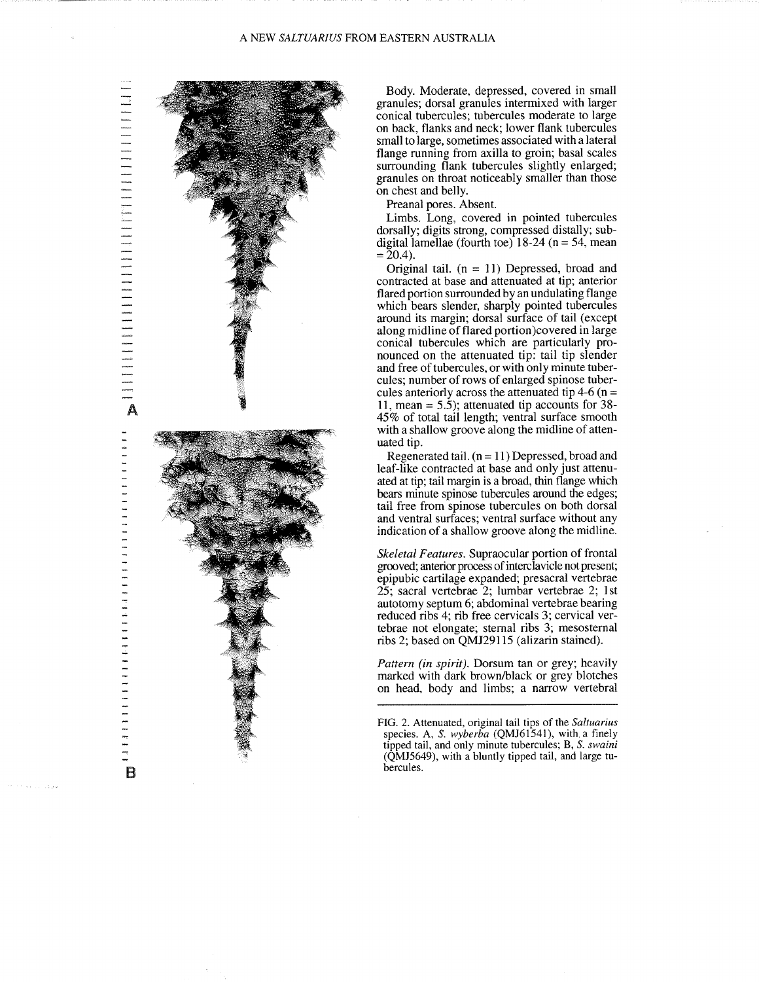**A**<br> **A**<br> **A** 

B



Body. Moderate, depressed, covered in small granules; dorsal granules intermixed with larger conical tubercules; tubercules moderate to large on back, flanks and neck; lower flank tubercules small to large, sometimes associated with a lateral flange running from axilla to groin; basal scales surrounding flank tubercules slightly enlarged; granules on throat noticeably smaller than those on chest and belly.

Preanal pores. Absent.

Limbs. Long, covered in pointed tubercules dorsally; digits strong, compressed distally; subdigital lamellae (fourth toe)  $18-24$  (n = 54, mean  $= 20.4$ ).

Original tail.  $(n = 11)$  Depressed, broad and contracted at base and attenuated at tip; anterior flared portion surrounded by an undulating flange which bears slender, sharply pointed tubercules around its margin; dorsal surface of tail (except along midline of flared portion)covered in large conical tubercules which are particularly pronounced on the attenuated tip: tail tip slender and free of tubercules, or with only minute tubercules; number of rows of enlarged spinose tubercules anteriorly across the attenuated tip 4-6 ( $n =$ **11,** mean = 5.5); attenuated tip accounts for 38- 45% of total tail length; ventral surface smooth with a shallow groove along the midline of attenuated tip.

Regenerated tail. (n = **11)** Depressed, broad and leaf-like contracted at base and only just attenuated at tip; tail margin is a broad, thin flange which bears minute spinose tubercules around the edges; tail free from spinose tubercules on both dorsal and ventral surfaces; ventral surface without any indication of a shallow groove along the midline.

*Skeletal Features.* Supraocular portion of frontal grooved; anterior process of interclavicle not present; epipubic cartilage expanded; presacral vertebrae 25; sacral vertebrae 2; lumbar vertebrae 2; 1st autotomy septum 6; abdominal vertebrae bearing reduced ribs 4; rib free cervicals 3; cervical vertebrae not elongate; sternal ribs 3; mesosternal ribs 2; based on QMJ29115 (alizarin stained).

*Pattern (in spirit).* Dorsum tan or grey; heavily marked with dark brown/black or grey blotches on head, body and limbs; a narrow vertebral

FIG. 2. Attenuated, original tail tips of the *Saltuarius*  species. A, S. *wyberba* (QMJ61541), with a finely tipped tail, and only minute tubercules; B, S. *swaini*  (QMJ5649), with a bluntly tipped tail, and large tubercules.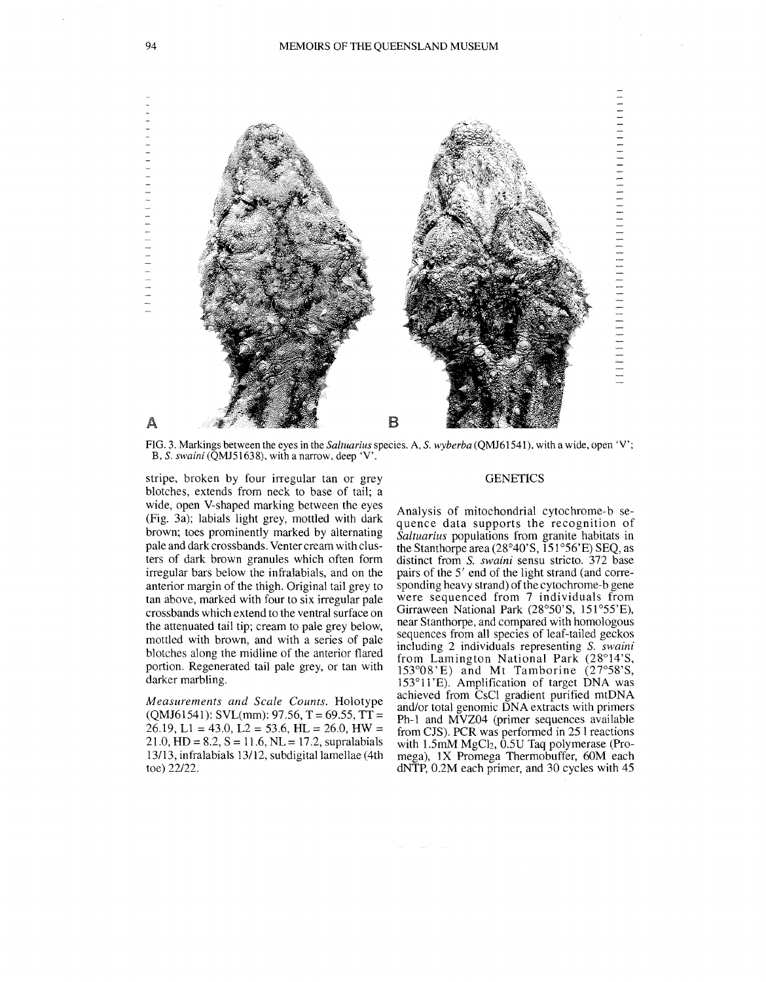

FlG. 3. Markings between the eyes in the *Saltuarius* species. A, S. *wyberba* (QMJ61541), with a wide, open 'V'; B, S. *swaini(QMJ51638),* with a narrow, deep 'V'.

stripe, broken by four irregular tan or grey blotches, extends from neck to base of tail; a wide, open V-shaped marking between the eyes (Fig. 3a); labials light grey, mottled with dark brown; toes prominently marked by alternating pale and dark crossbands. Venter cream with clusters of dark brown granules which often form irregular bars below the infralabials, and on the anterior margin of the thigh. Original tail grey to tan above, marked with four to six irregular pale crossbands which extend to the ventral surface on the attenuated tail tip; cream to pale grey below, mottled with brown, and with a series of pale blotches along the midline of the anterior flared portion. Regenerated tail pale grey, or tan with darker marbling.

*Measurements and Scale Counts.* Holotype  $(QMJ61541)$ : SVL(mm): 97.56, T = 69.55, TT = 26.19, L1 = 43.0, L2 = 53.6, HL = 26.0, HW =  $21.0, HD = 8.2, S = 11.6, NL = 17.2, supralabials$ 13/13, infralabials 13/12, subdigital lamellae (4th toe) *22122.* 

#### **GENETICS**

Analysis of mitochondrial cytochrome-b sequence data supports the recognition of *Saltuarius* populations from granite habitats in the Stanthorpe area  $(28°40°S, 151°56'E)$  SEQ, as distinct from S. *swaini* sensu stricto. 372 base pairs of the 5' end of the light strand (and corresponding heavy strand) of the cytochrome-b gene were sequenced from 7 individuals from Girraween National Park (28°50'S, 151°55'E), near Stanthorpe, and compared with homologous sequences from all species of leaf-tailed geckos including 2 individuals representing S. *swaim'*  from Lamington National Park (28°14'S, *153°08'* E) and Mt Tamborine (27°58'S, 153°11 'E). Amplification of target DNA was achieved from CsCI gradient purified mtDNA and/or total genomic DNA extracts with primers Ph-l and MVZ04 (primer sequences available from CJS). PCR was performed in 25 1 reactions with  $1.5 \text{mM}$  MgCl<sub>2</sub>,  $0.5 \text{U}$  Taq polymerase (Promega), IX Promega Thermobuffer, 60M each dNTP, 0.2M each primer, and 30 cycles with 45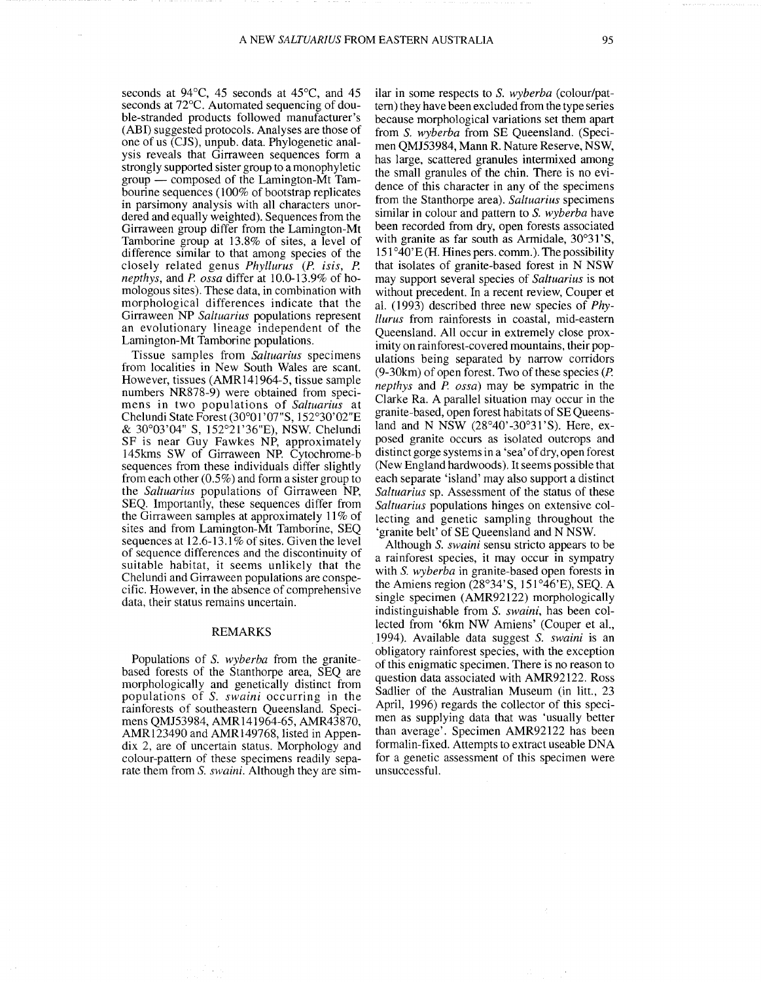seconds at 94°C, 45 seconds at 45°C, and 45 seconds at 72°C. Automated sequencing of double-stranded products followed manufacturer's (ABI) suggested protocols. Analyses are those of one of us (CJS), unpub. data. Phylogenetic analysis reveals that Girraween sequences form a strongly supported sister group to a monophyletic  $group$  - composed of the Lamington-Mt Tambourine sequences (100% of bootstrap replicates in parsimony analysis with all characters unordered and equally weighted). Sequences from the Girraween group differ from the Lamington-Mt Tamborine group at 13.8% of sites, a level of difference similar to that among species of the closely related genus *Phyllurus* (P. isis, P. *nepthys,* and P. *ossa* differ at 10.0-13.9% of homologous sites). These data, in combination with morphological differences indicate that the Girraween NP *Saltuarius* populations represent an evolutionary lineage independent of the Lamington-Mt Tamborine populations.

Tissue samples from *Saltuarius* specimens from localities in New South Wales are scant. However, tissues (AMRI41964-5, tissue sample numbers NR878-9) were obtained from specimens in two populations of *Saltuarius* at Chelundi State Forest (30°01 *'OT'S,* 152°30'02"E & 30°03'04" S, 152°21'36"E), NSW. Chelundi SF is near Guy Fawkes NP, approximately 145kms SW of Girraween NP. Cytochrome-b sequences from these individuals differ slightly from each other (0.5%) and form a sister group to the *Saltuarius* populations of Girraween NP, SEQ. Importantly, these sequences differ from the Girraween samples at approximately 11% of sites and from Lamington-Mt Tamborine, SEQ sequences at  $12.6 - 13.1\%$  of sites. Given the level of sequence differences and the discontinuity of suitable habitat, it seems unlikely that the Chelundi and Girraween populations are conspecific. However, in the absence of comprehensive data, their status remains uncertain.

### REMARKS

Populations of S. *wyberba* from the granitebased forests of the Stanthorpe area, SEQ are morphologically and genetically distinct from populations of S. *swaini* occurring in the rainforests of southeastern Queensland. Specimens QMJ53984, AMRI41964-65, AMR43870, AMRl23490 and AMR149768, listed in Appendix 2, are of uncertain status. Morphology and colour-pattern of these specimens readily separate them from S. *swaini.* Although they are sim-

ilar in some respects to S. *wyberba* (colour/pattern) they have been excluded from the type series because morphological variations set them apart from S. *wyberba* from SE Queensland. (Specimen QMJ53984, Mann R. Nature Reserve, NSW, has large, scattered granules intermixed among the small granules of the chin. There is no evidence of this character in any of the specimens from the Stanthorpe area). *Saltuarius* specimens similar in colour and pattern to S. *wyberba* have been recorded from dry, open forests associated with granite as far south as Armidale, 30°31'S,  $151°40'E$  (H. Hines pers. comm.). The possibility that isolates of granite-based forest in N NSW may support several species of *Saltuarius* is not without precedent. In a recent review, Couper et aI. (1993) described three new species of *Phyllurus* from rainforests in coastal, mid-eastern Queensland. All occur in extremely close proximity on rainforest-covered mountains, their populations being separated by narrow corridors (9-30km) of open forest. Two of these species (P. *nepthys* and P. *ossa)* may be sympatric in the Clarke Ra. A parallel situation may occur in the granite-based, open forest habitats of SE Queensland and N NSW (28°40'-30°31'S). Here, exposed granite occurs as isolated outcrops and distinct gorge systems in a 'sea' of dry, open forest (New England hardwoods). It seems possible that each separate 'island' may also support a distinct *Saltuarius* sp. Assessment of the status of these *Saltuarius* populations hinges on extensive collecting and genetic sampling throughout the 'granite belt' of SE Queensland and N NSW.

Although S. *swaini* sensu stricto appears to be a rainforest species, it may occur in sympatry with S. *wyberba* in granite-based open forests in the Amiens region ( $28°34'$ S,  $151°46'E$ ), SEO. A single specimen (AMR92122) morphologically indistinguishable from S. *swaini,* has been collected from '6km NW Amiens' (Couper et aI., .1994). Available data suggest S. *swaini* is an obligatory rainforest species, with the exception of this enigmatic specimen. There is no reason to question data associated with AMR92122. Ross Sadlier of the Australian Museum (in litt., 23 April, 1996) regards the collector of this specimen as supplying data that was 'usually better than average'. Specimen AMR92122 has been formalin-fixed. Attempts to extract useable DNA for a genetic assessment of this specimen were unsuccessful.